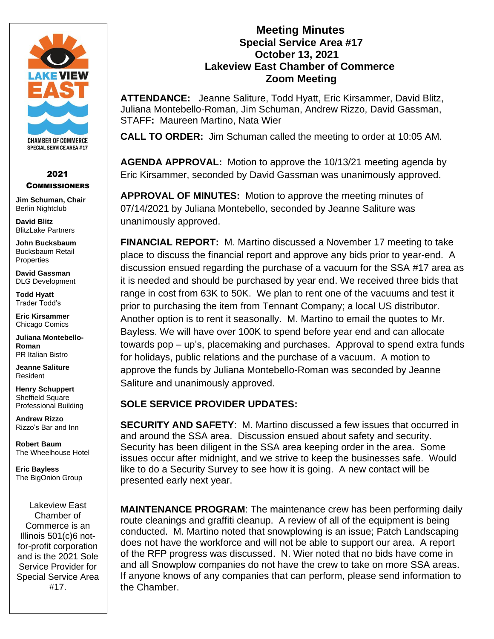

### 2021 **COMMISSIONERS**

**Jim Schuman, Chair** Berlin Nightclub

**David Blitz** BlitzLake Partners

**John Bucksbaum** Bucksbaum Retail **Properties** 

**David Gassman** DLG Development

**Todd Hyatt** Trader Todd's

**Eric Kirsammer** Chicago Comics

**Juliana Montebello-Roman** PR Italian Bistro

**Jeanne Saliture** Resident

**Henry Schuppert** Sheffield Square Professional Building

**Andrew Rizzo** Rizzo's Bar and Inn

**Robert Baum** The Wheelhouse Hotel

**Eric Bayless** The BigOnion Group

Lakeview East Chamber of Commerce is an Illinois 501(c)6 notfor-profit corporation and is the 2021 Sole Service Provider for Special Service Area #17.

### **Meeting Minutes Special Service Area #17 October 13, 2021 Lakeview East Chamber of Commerce Zoom Meeting**

**ATTENDANCE:** Jeanne Saliture, Todd Hyatt, Eric Kirsammer, David Blitz, Juliana Montebello-Roman, Jim Schuman, Andrew Rizzo, David Gassman, STAFF**:** Maureen Martino, Nata Wier

**CALL TO ORDER:** Jim Schuman called the meeting to order at 10:05 AM.

**AGENDA APPROVAL:** Motion to approve the 10/13/21 meeting agenda by Eric Kirsammer, seconded by David Gassman was unanimously approved.

**APPROVAL OF MINUTES:** Motion to approve the meeting minutes of 07/14/2021 by Juliana Montebello, seconded by Jeanne Saliture was unanimously approved.

**FINANCIAL REPORT:** M. Martino discussed a November 17 meeting to take place to discuss the financial report and approve any bids prior to year-end. A discussion ensued regarding the purchase of a vacuum for the SSA #17 area as it is needed and should be purchased by year end. We received three bids that range in cost from 63K to 50K. We plan to rent one of the vacuums and test it prior to purchasing the item from Tennant Company; a local US distributor. Another option is to rent it seasonally. M. Martino to email the quotes to Mr. Bayless. We will have over 100K to spend before year end and can allocate towards pop – up's, placemaking and purchases. Approval to spend extra funds for holidays, public relations and the purchase of a vacuum. A motion to approve the funds by Juliana Montebello-Roman was seconded by Jeanne Saliture and unanimously approved.

# **SOLE SERVICE PROVIDER UPDATES:**

**SECURITY AND SAFETY**: M. Martino discussed a few issues that occurred in and around the SSA area. Discussion ensued about safety and security. Security has been diligent in the SSA area keeping order in the area. Some issues occur after midnight, and we strive to keep the businesses safe. Would like to do a Security Survey to see how it is going. A new contact will be presented early next year.

**MAINTENANCE PROGRAM**: The maintenance crew has been performing daily route cleanings and graffiti cleanup. A review of all of the equipment is being conducted. M. Martino noted that snowplowing is an issue; Patch Landscaping does not have the workforce and will not be able to support our area. A report of the RFP progress was discussed. N. Wier noted that no bids have come in and all Snowplow companies do not have the crew to take on more SSA areas. If anyone knows of any companies that can perform, please send information to the Chamber.